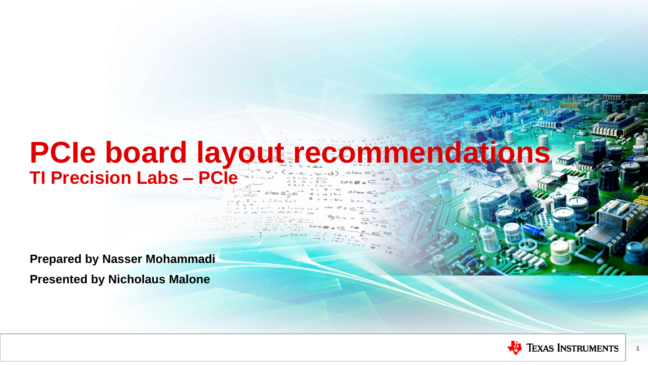#### **PCIe board layout recommendations TI Precision Labs – PCIe**

**Prepared by Nasser Mohammadi Presented by Nicholaus Malone**



1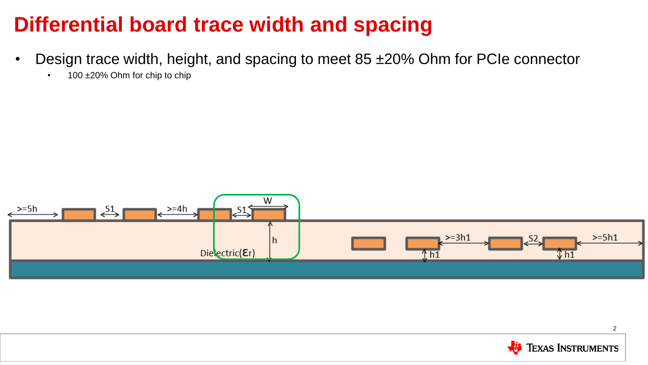#### **Differential board trace width and spacing**

- Design trace width, height, and spacing to meet 85 ±20% Ohm for PCIe connector
	- 100 ±20% Ohm for chip to chip



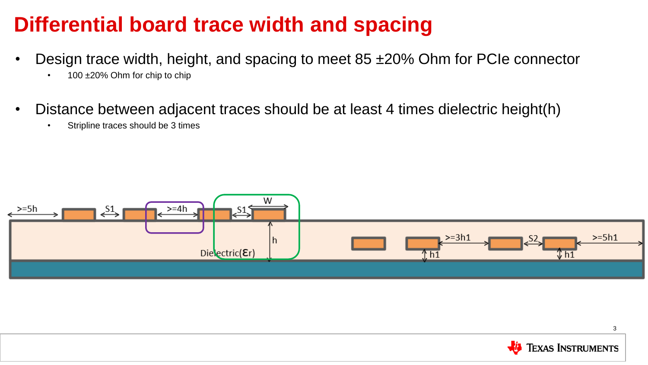#### **Differential board trace width and spacing**

- Design trace width, height, and spacing to meet 85 ±20% Ohm for PCIe connector
	- 100 ±20% Ohm for chip to chip
- Distance between adjacent traces should be at least 4 times dielectric height(h)
	- Stripline traces should be 3 times



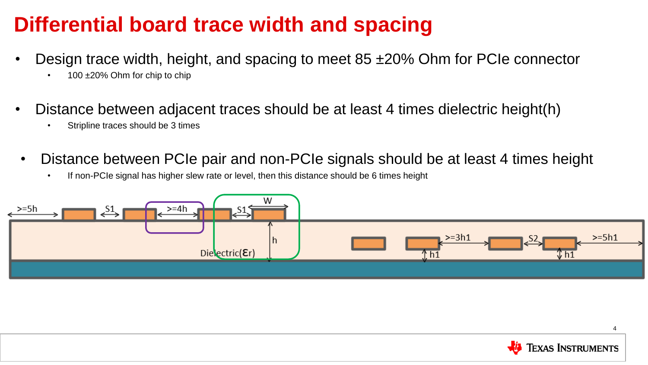#### **Differential board trace width and spacing**

- Design trace width, height, and spacing to meet 85 ±20% Ohm for PCIe connector
	- $100 \pm 20\%$  Ohm for chip to chip
- Distance between adjacent traces should be at least 4 times dielectric height(h)
	- Stripline traces should be 3 times
- Distance between PCIe pair and non-PCIe signals should be at least 4 times height
	- If non-PCIe signal has higher slew rate or level, then this distance should be 6 times height



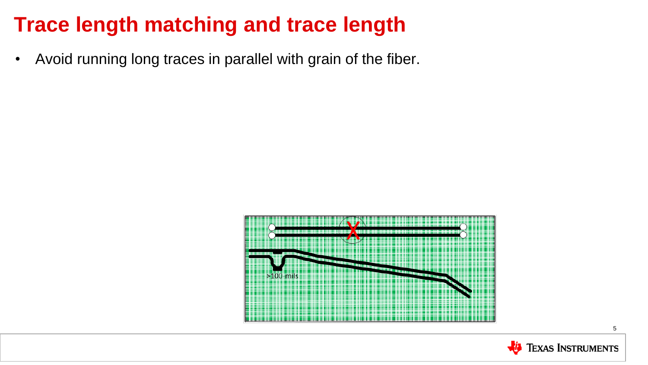• Avoid running long traces in parallel with grain of the fiber.



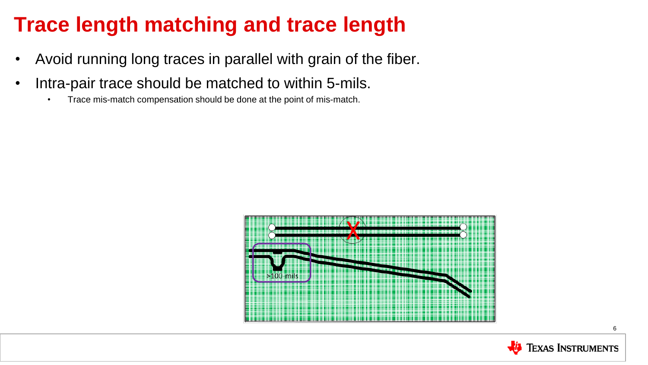- Avoid running long traces in parallel with grain of the fiber.
- Intra-pair trace should be matched to within 5-mils.
	- Trace mis-match compensation should be done at the point of mis-match.



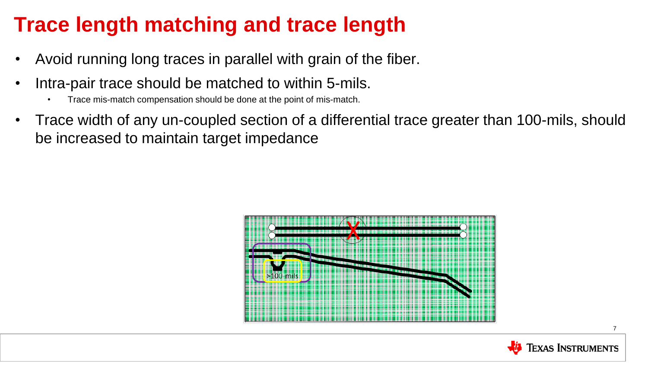- Avoid running long traces in parallel with grain of the fiber.
- Intra-pair trace should be matched to within 5-mils.
	- Trace mis-match compensation should be done at the point of mis-match.
- Trace width of any un-coupled section of a differential trace greater than 100-mils, should be increased to maintain target impedance



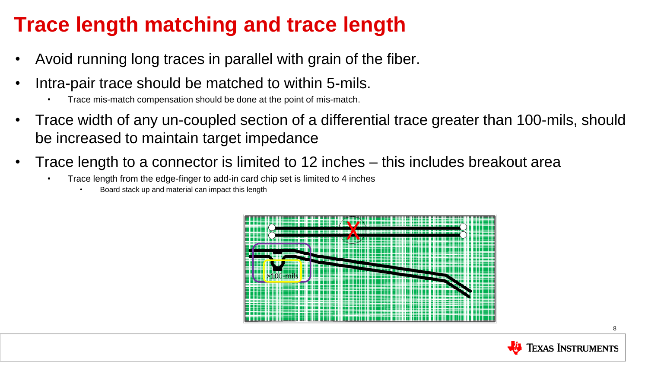- Avoid running long traces in parallel with grain of the fiber.
- Intra-pair trace should be matched to within 5-mils.
	- Trace mis-match compensation should be done at the point of mis-match.
- Trace width of any un-coupled section of a differential trace greater than 100-mils, should be increased to maintain target impedance
- Trace length to a connector is limited to 12 inches this includes breakout area
	- Trace length from the edge-finger to add-in card chip set is limited to 4 inches
		- Board stack up and material can impact this length



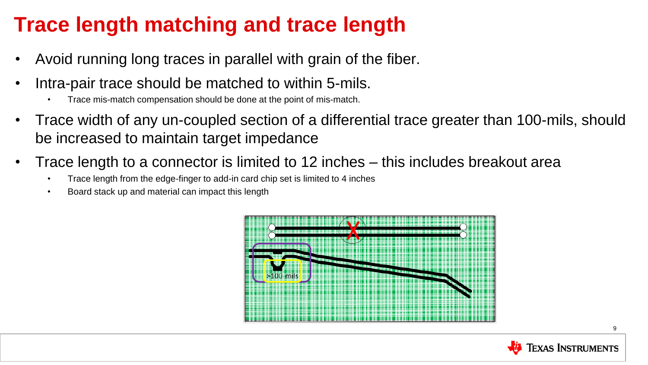- Avoid running long traces in parallel with grain of the fiber.
- Intra-pair trace should be matched to within 5-mils.
	- Trace mis-match compensation should be done at the point of mis-match.
- Trace width of any un-coupled section of a differential trace greater than 100-mils, should be increased to maintain target impedance
- Trace length to a connector is limited to 12 inches this includes breakout area
	- Trace length from the edge-finger to add-in card chip set is limited to 4 inches
	- Board stack up and material can impact this length



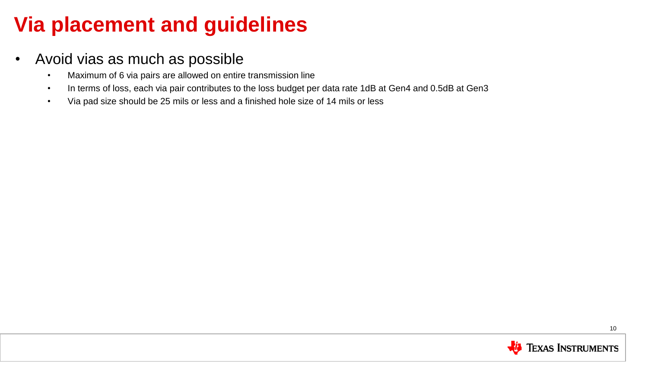#### **Via placement and guidelines**

- Avoid vias as much as possible
	- Maximum of 6 via pairs are allowed on entire transmission line
	- In terms of loss, each via pair contributes to the loss budget per data rate 1dB at Gen4 and 0.5dB at Gen3
	- Via pad size should be 25 mils or less and a finished hole size of 14 mils or less

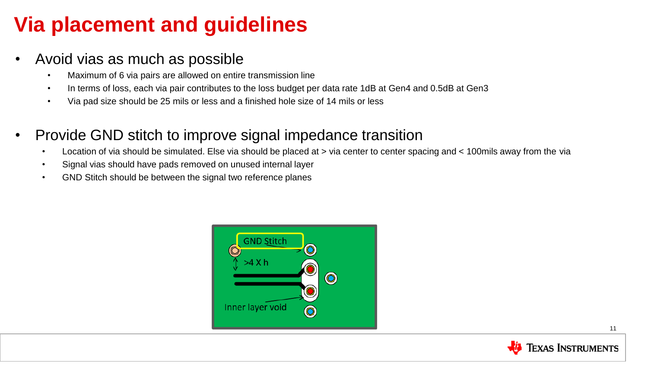#### **Via placement and guidelines**

- Avoid vias as much as possible
	- Maximum of 6 via pairs are allowed on entire transmission line
	- In terms of loss, each via pair contributes to the loss budget per data rate 1dB at Gen4 and 0.5dB at Gen3
	- Via pad size should be 25 mils or less and a finished hole size of 14 mils or less
- Provide GND stitch to improve signal impedance transition
	- Location of via should be simulated. Else via should be placed at > via center to center spacing and < 100mils away from the via
	- Signal vias should have pads removed on unused internal layer
	- GND Stitch should be between the signal two reference planes



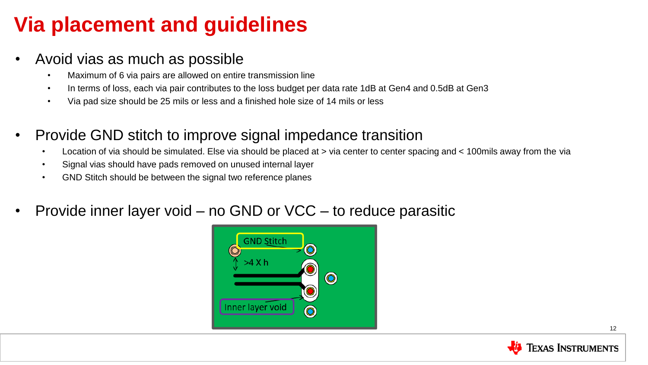#### **Via placement and guidelines**

- Avoid vias as much as possible
	- Maximum of 6 via pairs are allowed on entire transmission line
	- In terms of loss, each via pair contributes to the loss budget per data rate 1dB at Gen4 and 0.5dB at Gen3
	- Via pad size should be 25 mils or less and a finished hole size of 14 mils or less
- Provide GND stitch to improve signal impedance transition
	- Location of via should be simulated. Else via should be placed at > via center to center spacing and < 100mils away from the via
	- Signal vias should have pads removed on unused internal layer
	- GND Stitch should be between the signal two reference planes
- Provide inner layer void no GND or VCC to reduce parasitic



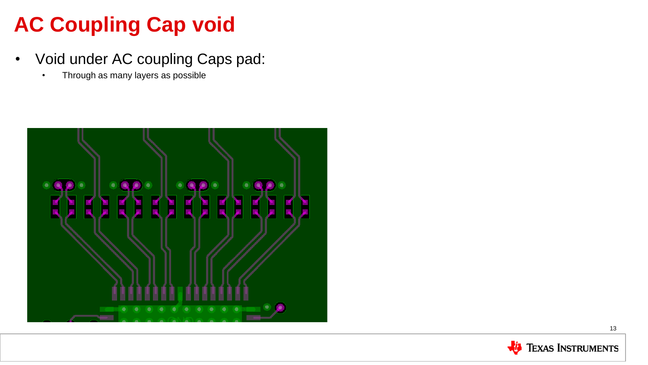## **AC Coupling Cap void**

- Void under AC coupling Caps pad:
	- Through as many layers as possible



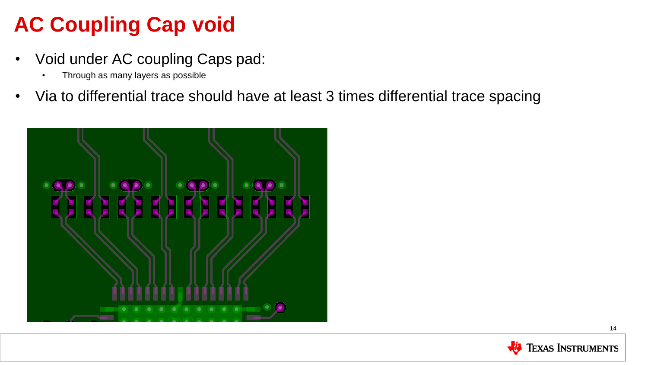## **AC Coupling Cap void**

- Void under AC coupling Caps pad:
	- Through as many layers as possible
- Via to differential trace should have at least 3 times differential trace spacing



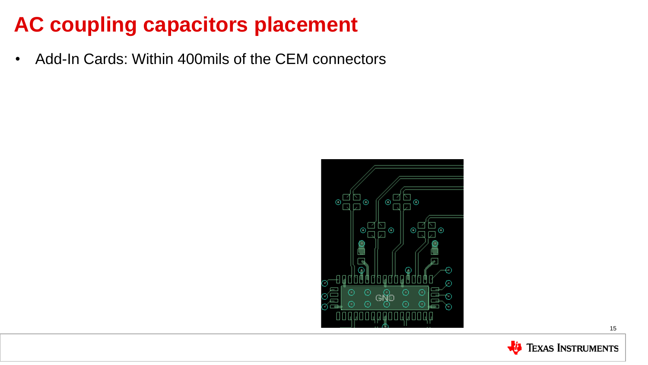• Add-In Cards: Within 400mils of the CEM connectors



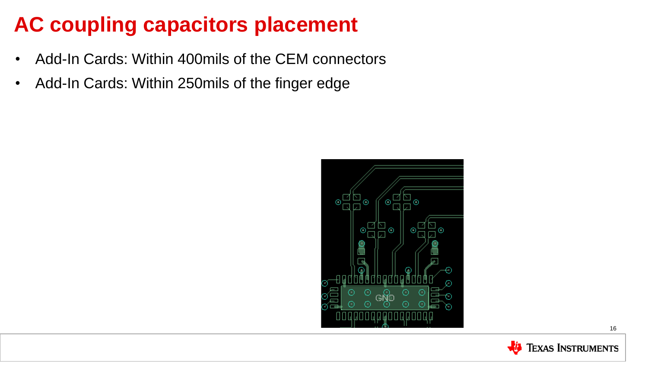- Add-In Cards: Within 400mils of the CEM connectors
- Add-In Cards: Within 250mils of the finger edge



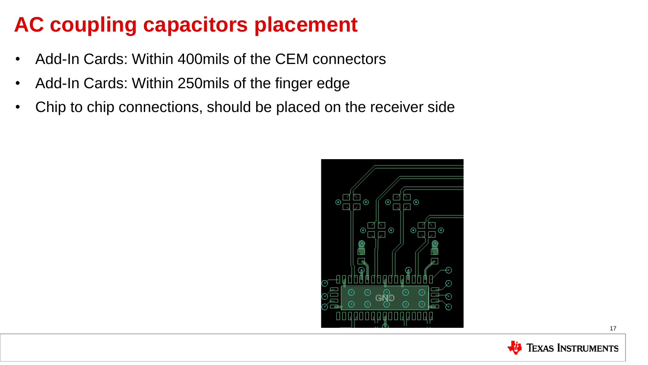- Add-In Cards: Within 400mils of the CEM connectors
- Add-In Cards: Within 250mils of the finger edge
- Chip to chip connections, should be placed on the receiver side

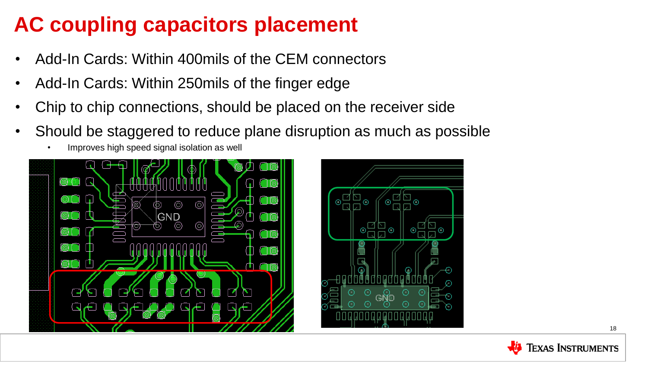- Add-In Cards: Within 400mils of the CEM connectors
- Add-In Cards: Within 250mils of the finger edge
- Chip to chip connections, should be placed on the receiver side
- Should be staggered to reduce plane disruption as much as possible
	- Improves high speed signal isolation as well



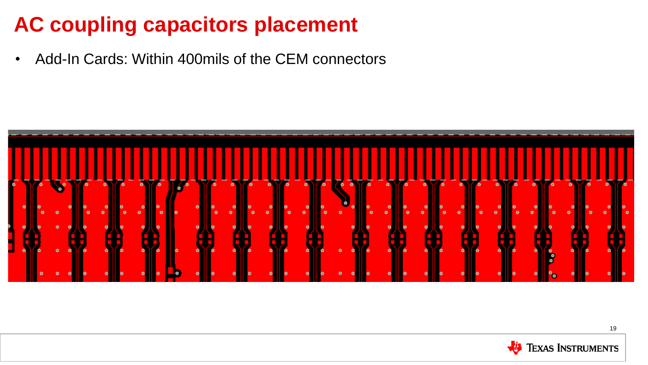• Add-In Cards: Within 400mils of the CEM connectors



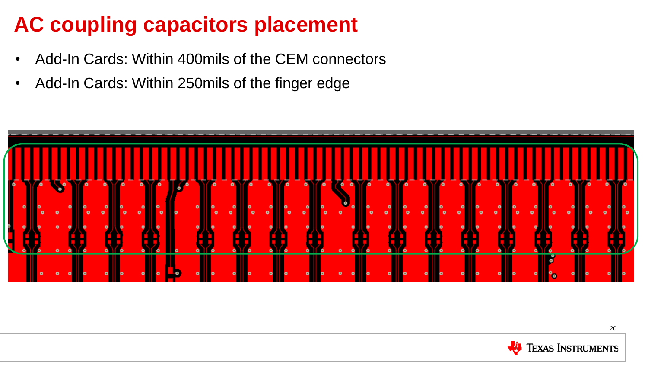- Add-In Cards: Within 400mils of the CEM connectors
- Add-In Cards: Within 250mils of the finger edge



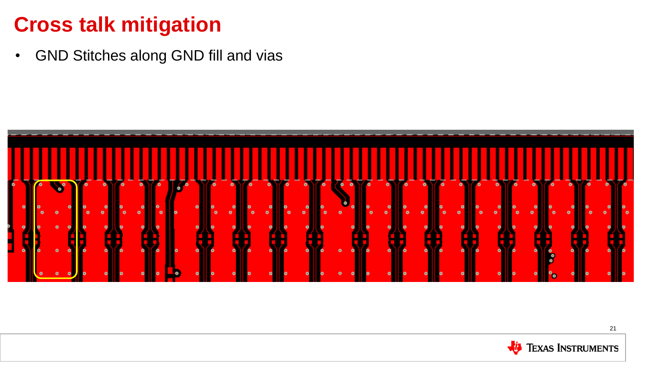• GND Stitches along GND fill and vias



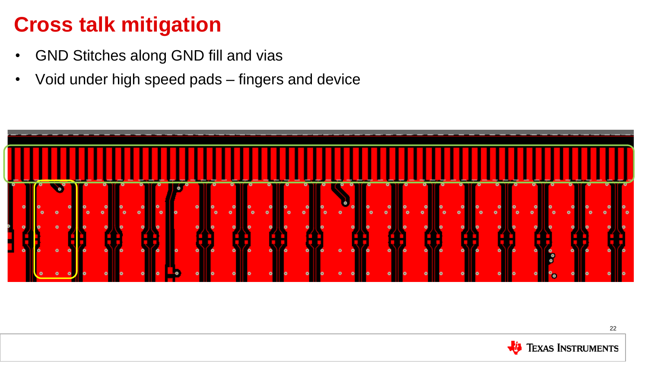- GND Stitches along GND fill and vias
- Void under high speed pads fingers and device



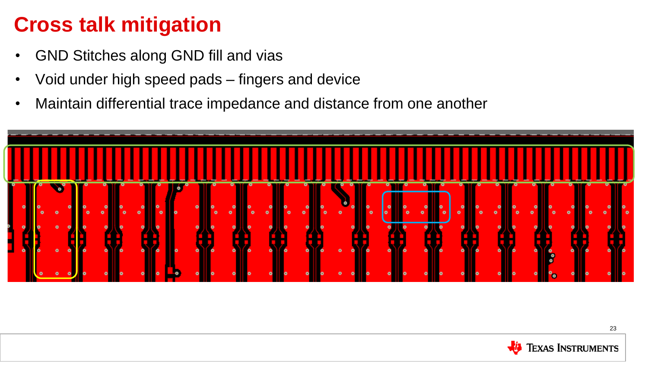- GND Stitches along GND fill and vias
- Void under high speed pads fingers and device
- Maintain differential trace impedance and distance from one another



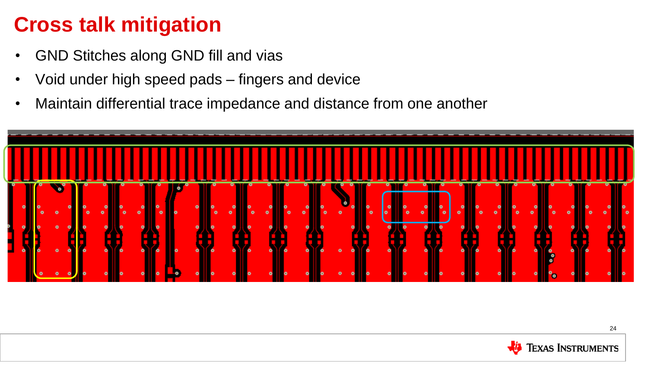- GND Stitches along GND fill and vias
- Void under high speed pads fingers and device
- Maintain differential trace impedance and distance from one another



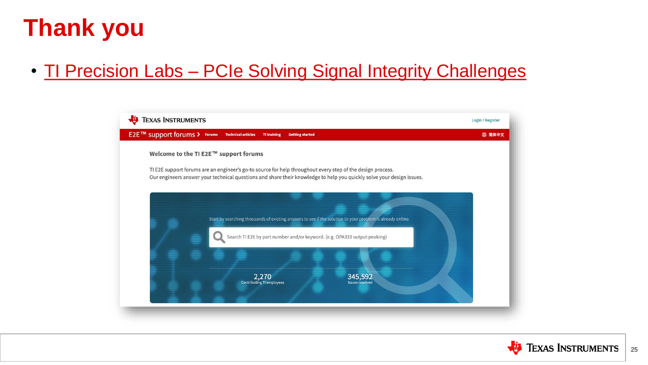# **Thank you**

#### • TI Precision Labs - [PCIe Solving Signal Integrity Challenges](https://training.ti.com/pcie-signal-integrity-challenges)